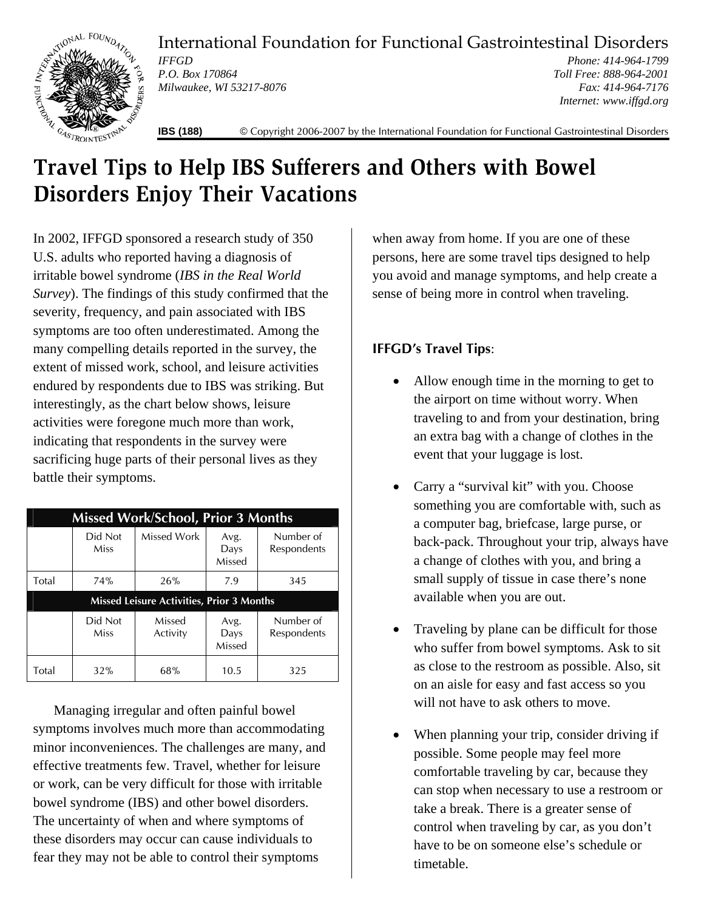International Foundation for Functional Gastrointestinal Disorders



*IFFGD P.O. Box 170864 Milwaukee, WI 53217-8076* 

*Phone: 414-964-1799 Toll Free: 888-964-2001 Fax: 414-964-7176 Internet: www.iffgd.org*

**IBS (188)** © Copyright 2006-2007 by the International Foundation for Functional Gastrointestinal Disorders

## **Travel Tips to Help IBS Sufferers and Others with Bowel Disorders Enjoy Their Vacations**

In 2002, IFFGD sponsored a research study of 350 U.S. adults who reported having a diagnosis of irritable bowel syndrome (*IBS in the Real World Survey*). The findings of this study confirmed that the severity, frequency, and pain associated with IBS symptoms are too often underestimated. Among the many compelling details reported in the survey, the extent of missed work, school, and leisure activities endured by respondents due to IBS was striking. But interestingly, as the chart below shows, leisure activities were foregone much more than work, indicating that respondents in the survey were sacrificing huge parts of their personal lives as they battle their symptoms.

| <b>Missed Work/School, Prior 3 Months</b>        |                 |                    |                        |                          |
|--------------------------------------------------|-----------------|--------------------|------------------------|--------------------------|
|                                                  | Did Not<br>Miss | Missed Work        | Avg.<br>Days<br>Missed | Number of<br>Respondents |
| Total                                            | 74%             | 26%                | 7.9                    | 345                      |
| <b>Missed Leisure Activities, Prior 3 Months</b> |                 |                    |                        |                          |
|                                                  | Did Not<br>Miss | Missed<br>Activity | Avg.<br>Days<br>Missed | Number of<br>Respondents |
| Total                                            | 32%             | 68%                | 10.5                   | 325                      |

 Managing irregular and often painful bowel symptoms involves much more than accommodating minor inconveniences. The challenges are many, and effective treatments few. Travel, whether for leisure or work, can be very difficult for those with irritable bowel syndrome (IBS) and other bowel disorders. The uncertainty of when and where symptoms of these disorders may occur can cause individuals to fear they may not be able to control their symptoms

when away from home. If you are one of these persons, here are some travel tips designed to help you avoid and manage symptoms, and help create a sense of being more in control when traveling.

## **IFFGD's Travel Tips**:

- Allow enough time in the morning to get to the airport on time without worry. When traveling to and from your destination, bring an extra bag with a change of clothes in the event that your luggage is lost.
- Carry a "survival kit" with you. Choose something you are comfortable with, such as a computer bag, briefcase, large purse, or back-pack. Throughout your trip, always have a change of clothes with you, and bring a small supply of tissue in case there's none available when you are out.
- Traveling by plane can be difficult for those who suffer from bowel symptoms. Ask to sit as close to the restroom as possible. Also, sit on an aisle for easy and fast access so you will not have to ask others to move.
- When planning your trip, consider driving if possible. Some people may feel more comfortable traveling by car, because they can stop when necessary to use a restroom or take a break. There is a greater sense of control when traveling by car, as you don't have to be on someone else's schedule or timetable.